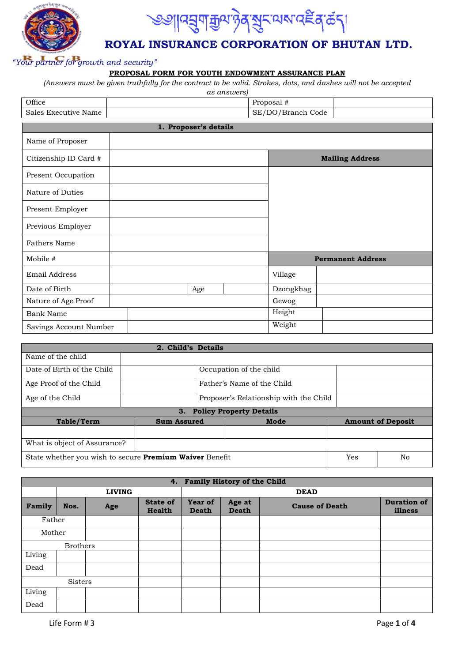



## **ROYAL INSURANCE CORPORATION OF BHUTAN LTD.**

## *"Your partner for growth and security"*

### **PROPOSAL FORM FOR YOUTH ENDOWMENT ASSURANCE PLAN**

*(Answers must be given truthfully for the contract to be valid. Strokes, dots, and dashes will not be accepted* 

|                        |                       | as answers) |                   |                          |
|------------------------|-----------------------|-------------|-------------------|--------------------------|
| Office                 |                       |             | Proposal #        |                          |
| Sales Executive Name   |                       |             | SE/DO/Branch Code |                          |
|                        | 1. Proposer's details |             |                   |                          |
| Name of Proposer       |                       |             |                   |                          |
| Citizenship ID Card #  |                       |             |                   | <b>Mailing Address</b>   |
| Present Occupation     |                       |             |                   |                          |
| Nature of Duties       |                       |             |                   |                          |
| Present Employer       |                       |             |                   |                          |
| Previous Employer      |                       |             |                   |                          |
| <b>Fathers Name</b>    |                       |             |                   |                          |
| Mobile #               |                       |             |                   | <b>Permanent Address</b> |
| Email Address          |                       |             | Village           |                          |
| Date of Birth          | Age                   |             | Dzongkhag         |                          |
| Nature of Age Proof    |                       |             | Gewog             |                          |
| <b>Bank Name</b>       |                       |             | Height            |                          |
| Savings Account Number |                       |             | Weight            |                          |

|                              | 2. Child's Details                                                          |  |                                |  |                          |
|------------------------------|-----------------------------------------------------------------------------|--|--------------------------------|--|--------------------------|
| Name of the child            |                                                                             |  |                                |  |                          |
| Date of Birth of the Child   |                                                                             |  | Occupation of the child        |  |                          |
| Age Proof of the Child       | Father's Name of the Child                                                  |  |                                |  |                          |
| Age of the Child             | Proposer's Relationship with the Child                                      |  |                                |  |                          |
|                              | 3.                                                                          |  | <b>Policy Property Details</b> |  |                          |
| <b>Table/Term</b>            | <b>Sum Assured</b>                                                          |  | Mode                           |  | <b>Amount of Deposit</b> |
|                              |                                                                             |  |                                |  |                          |
| What is object of Assurance? |                                                                             |  |                                |  |                          |
|                              | State whether you wish to secure <b>Premium Waiver</b> Benefit<br>Yes<br>No |  |                                |  |                          |

|        | 4. Family History of the Child |               |                           |                         |                        |                       |                               |  |  |
|--------|--------------------------------|---------------|---------------------------|-------------------------|------------------------|-----------------------|-------------------------------|--|--|
|        |                                | <b>LIVING</b> |                           |                         | <b>DEAD</b>            |                       |                               |  |  |
| Family | Nos.                           | Age           | <b>State of</b><br>Health | Year of<br><b>Death</b> | Age at<br><b>Death</b> | <b>Cause of Death</b> | <b>Duration of</b><br>illness |  |  |
| Father |                                |               |                           |                         |                        |                       |                               |  |  |
| Mother |                                |               |                           |                         |                        |                       |                               |  |  |
|        | <b>Brothers</b>                |               |                           |                         |                        |                       |                               |  |  |
| Living |                                |               |                           |                         |                        |                       |                               |  |  |
| Dead   |                                |               |                           |                         |                        |                       |                               |  |  |
|        | <b>Sisters</b>                 |               |                           |                         |                        |                       |                               |  |  |
| Living |                                |               |                           |                         |                        |                       |                               |  |  |
| Dead   |                                |               |                           |                         |                        |                       |                               |  |  |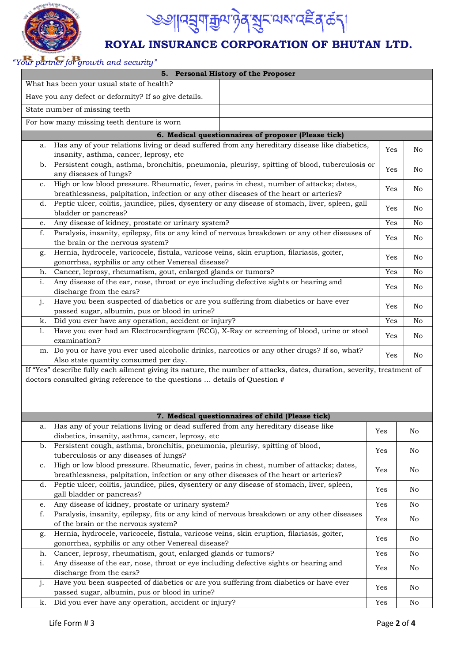

# <sup>৩৩</sup>୩৭য়ৢঀৗয়ৣ৽৸ঔ৾৶য়৸৻৸ড়৸৸৻ড়ড়৸

# **ROYAL INSURANCE CORPORATION OF BHUTAN LTD.**

## *"Your partner for growth and security"*

| 5. Personal History of the Proposer                                                                                                   |     |                |  |  |
|---------------------------------------------------------------------------------------------------------------------------------------|-----|----------------|--|--|
| What has been your usual state of health?                                                                                             |     |                |  |  |
| Have you any defect or deformity? If so give details.                                                                                 |     |                |  |  |
| State number of missing teeth                                                                                                         |     |                |  |  |
| For how many missing teeth denture is worn                                                                                            |     |                |  |  |
|                                                                                                                                       |     |                |  |  |
| 6. Medical questionnaires of proposer (Please tick)                                                                                   |     |                |  |  |
| Has any of your relations living or dead suffered from any hereditary disease like diabetics,<br>a.                                   | Yes | No             |  |  |
| insanity, asthma, cancer, leprosy, etc                                                                                                |     |                |  |  |
| Persistent cough, asthma, bronchitis, pneumonia, pleurisy, spitting of blood, tuberculosis or<br>b.<br>any diseases of lungs?         | Yes | No             |  |  |
| High or low blood pressure. Rheumatic, fever, pains in chest, number of attacks; dates,<br>c.                                         | Yes | No             |  |  |
| breathlessness, palpitation, infection or any other diseases of the heart or arteries?                                                |     |                |  |  |
| Peptic ulcer, colitis, jaundice, piles, dysentery or any disease of stomach, liver, spleen, gall<br>d.<br>bladder or pancreas?        | Yes | No             |  |  |
| Any disease of kidney, prostate or urinary system?<br>e.                                                                              | Yes | N <sub>o</sub> |  |  |
| Paralysis, insanity, epilepsy, fits or any kind of nervous breakdown or any other diseases of<br>f.                                   |     |                |  |  |
| the brain or the nervous system?                                                                                                      | Yes | No             |  |  |
| Hernia, hydrocele, varicocele, fistula, varicose veins, skin eruption, filariasis, goiter,<br>g.                                      | Yes | No             |  |  |
| gonorrhea, syphilis or any other Venereal disease?                                                                                    |     |                |  |  |
| Cancer, leprosy, rheumatism, gout, enlarged glands or tumors?<br>h.                                                                   | Yes | No             |  |  |
| Any disease of the ear, nose, throat or eye including defective sights or hearing and<br>i.<br>discharge from the ears?               | Yes | No             |  |  |
| Have you been suspected of diabetics or are you suffering from diabetics or have ever<br>j.                                           | Yes | No             |  |  |
| passed sugar, albumin, pus or blood in urine?                                                                                         |     |                |  |  |
| Did you ever have any operation, accident or injury?<br>k.                                                                            |     |                |  |  |
| Have you ever had an Electrocardiogram (ECG), X-Ray or screening of blood, urine or stool<br>1.<br>examination?                       |     |                |  |  |
| m. Do you or have you ever used alcoholic drinks, narcotics or any other drugs? If so, what?                                          |     |                |  |  |
| Also state quantity consumed per day.                                                                                                 | Yes | No.            |  |  |
| If "Yes" describe fully each ailment giving its nature, the number of attacks, dates, duration, severity, treatment of                |     |                |  |  |
| doctors consulted giving reference to the questions  details of Question #                                                            |     |                |  |  |
|                                                                                                                                       |     |                |  |  |
|                                                                                                                                       |     |                |  |  |
| 7. Medical questionnaires of child (Please tick)                                                                                      |     |                |  |  |
| Has any of your relations living or dead suffered from any hereditary disease like                                                    |     |                |  |  |
| a.<br>diabetics, insanity, asthma, cancer, leprosy, etc                                                                               | Yes | No             |  |  |
| Persistent cough, asthma, bronchitis, pneumonia, pleurisy, spitting of blood,<br>b.                                                   |     |                |  |  |
| tuberculosis or any diseases of lungs?                                                                                                | Yes | No             |  |  |
| High or low blood pressure. Rheumatic, fever, pains in chest, number of attacks; dates,<br>c.                                         | Yes | No             |  |  |
| breathlessness, palpitation, infection or any other diseases of the heart or arteries?                                                |     |                |  |  |
| Peptic ulcer, colitis, jaundice, piles, dysentery or any disease of stomach, liver, spleen,<br>d.<br>Yes<br>gall bladder or pancreas? |     |                |  |  |
| Any disease of kidney, prostate or urinary system?<br>Yes<br>e.                                                                       |     |                |  |  |
| Paralysis, insanity, epilepsy, fits or any kind of nervous breakdown or any other diseases<br>f.                                      |     |                |  |  |
| Yes<br>No<br>of the brain or the nervous system?                                                                                      |     |                |  |  |
| Hernia, hydrocele, varicocele, fistula, varicose veins, skin eruption, filariasis, goiter,<br>g.                                      | Yes | No             |  |  |
| gonorrhea, syphilis or any other Venereal disease?                                                                                    |     |                |  |  |
| Cancer, leprosy, rheumatism, gout, enlarged glands or tumors?<br>Yes<br>No<br>h.                                                      |     |                |  |  |
| Any disease of the ear, nose, throat or eye including defective sights or hearing and<br>i.<br>discharge from the ears?               | Yes | No             |  |  |
| Have you been suspected of diabetics or are you suffering from diabetics or have ever<br>j.                                           |     |                |  |  |
| passed sugar, albumin, pus or blood in urine?                                                                                         | Yes | No             |  |  |
| Did you ever have any operation, accident or injury?<br>k.                                                                            | Yes | $\rm No$       |  |  |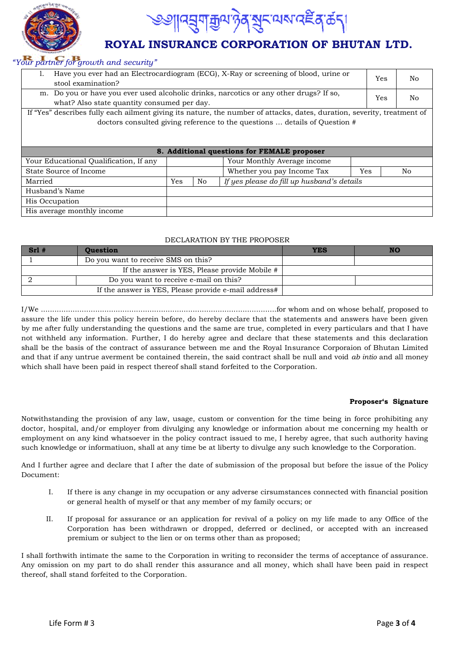



# **ROYAL INSURANCE CORPORATION OF BHUTAN LTD.**

## *"Your partner for growth and security"*

| $\sigma$ and $\sigma$ and $\sigma$ and $\sigma$ and $\sigma$ and $\sigma$ and $\sigma$                                                             |  |                                            |    |  |    |
|----------------------------------------------------------------------------------------------------------------------------------------------------|--|--------------------------------------------|----|--|----|
| Have you ever had an Electrocardiogram (ECG), X-Ray or screening of blood, urine or<br>ı.<br>stool examination?                                    |  |                                            |    |  | No |
| m. Do you or have you ever used alcoholic drinks, narcotics or any other drugs? If so,<br>Yes<br>No<br>what? Also state quantity consumed per day. |  |                                            |    |  |    |
| If "Yes" describes fully each ailment giving its nature, the number of attacks, dates, duration, severity, treatment of                            |  |                                            |    |  |    |
| doctors consulted giving reference to the questions  details of Question #                                                                         |  |                                            |    |  |    |
| 8. Additional questions for FEMALE proposer                                                                                                        |  |                                            |    |  |    |
| Your Monthly Average income<br>Your Educational Qualification, If any                                                                              |  |                                            |    |  |    |
| State Source of Income<br>Whether you pay Income Tax                                                                                               |  | Yes                                        | No |  |    |
| Yes<br>No<br>Married                                                                                                                               |  | If yes please do fill up husband's details |    |  |    |
| Husband's Name                                                                                                                                     |  |                                            |    |  |    |
| His Occupation                                                                                                                                     |  |                                            |    |  |    |
| His average monthly income                                                                                                                         |  |                                            |    |  |    |

#### DECLARATION BY THE PROPOSER

| $Srl$ #                                | <b>Ouestion</b>                                      | YES | NO |
|----------------------------------------|------------------------------------------------------|-----|----|
|                                        | Do you want to receive SMS on this?                  |     |    |
|                                        | If the answer is YES, Please provide Mobile #        |     |    |
| Do you want to receive e-mail on this? |                                                      |     |    |
|                                        | If the answer is YES, Please provide e-mail address# |     |    |

I/We ........................................................................................................for whom and on whose behalf, proposed to assure the life under this policy herein before, do hereby declare that the statements and answers have been given by me after fully understanding the questions and the same are true, completed in every particulars and that I have not withheld any information. Further, I do hereby agree and declare that these statements and this declaration shall be the basis of the contract of assurance between me and the Royal Insurance Corporaion of Bhutan Limited and that if any untrue averment be contained therein, the said contract shall be null and void *ab intio* and all money which shall have been paid in respect thereof shall stand forfeited to the Corporation.

#### **Proposer's Signature**

Notwithstanding the provision of any law, usage, custom or convention for the time being in force prohibiting any doctor, hospital, and/or employer from divulging any knowledge or information about me concerning my health or employment on any kind whatsoever in the policy contract issued to me, I hereby agree, that such authority having such knowledge or informatiuon, shall at any time be at liberty to divulge any such knowledge to the Corporation.

And I further agree and declare that I after the date of submission of the proposal but before the issue of the Policy Document:

- I. If there is any change in my occupation or any adverse cirsumstances connected with financial position or general health of myself or that any member of my family occurs; or
- II. If proposal for assurance or an application for revival of a policy on my life made to any Office of the Corporation has been withdrawn or dropped, deferred or declined, or accepted with an increased premium or subject to the lien or on terms other than as proposed;

I shall forthwith intimate the same to the Corporation in writing to reconsider the terms of acceptance of assurance. Any omission on my part to do shall render this assurance and all money, which shall have been paid in respect thereof, shall stand forfeited to the Corporation.